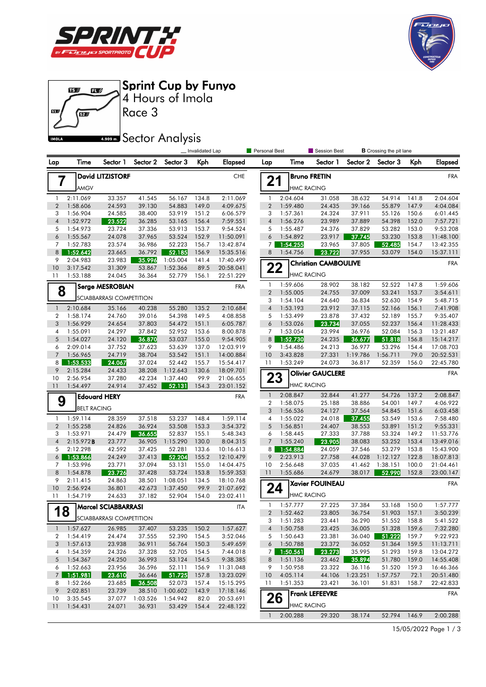





|                                       |                      |                            |                  |                    | _ Invalidated Lap |                        | Personal Best  |                      | Session Best                |                  | <b>B</b> Crossing the pit lane |                |                       |
|---------------------------------------|----------------------|----------------------------|------------------|--------------------|-------------------|------------------------|----------------|----------------------|-----------------------------|------------------|--------------------------------|----------------|-----------------------|
| Lap                                   | Time                 | Sector 1                   | Sector 2         | Sector 3           | Kph               | Elapsed                | Lap            | Time                 | Sector 1                    | Sector 2         | Sector 3                       | Kph            | <b>Elapsed</b>        |
| <b>David LITZISTORF</b><br><b>CHE</b> |                      |                            |                  |                    |                   |                        |                |                      | <b>Bruno FRETIN</b>         |                  |                                |                | <b>FRA</b>            |
| 7                                     | AMGV                 |                            |                  |                    |                   |                        | 21             | <b>HMC RACING</b>    |                             |                  |                                |                |                       |
| $\mathbf{1}$                          | 2:11.069             | 33.357                     | 41.545           | 56.167             | 134.8             | 2:11.069               | $\mathbf{1}$   | 2:04.604             | 31.058                      | 38.632           | 54.914                         | 141.8          | 2:04.604              |
| $\overline{2}$                        | 1:58.606             | 24.593                     | 39.130           | 54.883             | 149.0             | 4:09.675               | $\overline{2}$ | 1:59.480             | 24.435                      | 39.166           | 55.879                         | 147.9          | 4:04.084              |
| 3                                     | 1:56.904             | 24.585                     | 38.400           | 53.919             | 151.2             | 6:06.579               | 3              | 1:57.361             | 24.324                      | 37.911           | 55.126                         | 150.6          | 6:01.445              |
| $\overline{4}$                        | 1:52.972             | 23.522                     | 36.285           | 53.165             | 156.4             | 7:59.551               | $\overline{4}$ | 1:56.276             | 23.989                      | 37.889           | 54.398                         | 152.0          | 7:57.721              |
| 5                                     | 1:54.973             | 23.724                     | 37.336           | 53.913             | 153.7             | 9:54.524               | 5              | 1:55.487             | 24.376                      | 37.829           | 53.282                         | 153.0          | 9:53.208              |
| 6                                     | 1:55.567             | 24.078                     | 37.965           | 53.524             | 152.9             | 11:50.091              | 6              | 1:54.892             | 23.917                      | 37.745           | 53.230                         | 153.8          | 11:48.100             |
| 7                                     | 1:52.783             | 23.574                     | 36.986           | 52.223             | 156.7             | 13:42.874              | $7^{\circ}$    | 1:54.255             | 23.965                      | 37.805           | 52.485                         | 154.7          | 13:42.355             |
| 8                                     | 1:52.642             | 23.665                     | 36.792           | 52.185             | 156.9             | 15:35.516              | 8              | 1:54.756             | 23.722                      | 37.955           | 53.079                         | 154.0          | 15:37.111             |
| 9                                     | 2:04.983             | 23.983                     | 35.996           | 1:05.004           | 141.4             | 17:40.499              |                |                      | <b>Christian CAMBOULIVE</b> |                  |                                |                | <b>FRA</b>            |
| 10                                    | 3:17.542             | 31.309                     | 53.867           | 1:52.366           | 89.5              | 20:58.041              | 22             |                      |                             |                  |                                |                |                       |
| 11                                    | 1:53.188             | 24.045                     | 36.364           | 52.779             | 156.1             | 22:51.229              |                | <b>HMC RACING</b>    |                             |                  |                                |                |                       |
| 8                                     |                      | <b>Serge MESROBIAN</b>     |                  |                    |                   | <b>FRA</b>             | $\mathbf{1}$   | 1:59.606             | 28.902                      | 38.182           | 52.522                         | 147.8          | 1:59.606              |
|                                       |                      | SCIABBARRASI COMPETITION   |                  |                    |                   |                        | $\overline{2}$ | 1:55.005             | 24.755                      | 37.009           | 53.241                         | 153.7          | 3:54.611              |
|                                       |                      |                            |                  | 55.280             |                   |                        | 3              | 1:54.104             | 24.640                      | 36.834           | 52.630                         | 154.9          | 5:48.715              |
| $\mathbf{1}$                          | 2:10.684             | 35.166                     | 40.238           |                    | 135.2             | 2:10.684               | $\sqrt{4}$     | 1:53.193             | 23.912                      | 37.115           | 52.166                         | 156.1          | 7:41.908              |
| $\overline{2}$<br>3                   | 1:58.174<br>1:56.929 | 24.760<br>24.654           | 39.016<br>37.803 | 54.398<br>54.472   | 149.5<br>151.1    | 4:08.858<br>6:05.787   | 5<br>6         | 1:53.499<br>1:53.026 | 23.878<br>23.734            | 37.432<br>37.055 | 52.189<br>52.237               | 155.7<br>156.4 | 9:35.407<br>11:28.433 |
| 4                                     | 1:55.091             | 24.297                     | 37.842           | 52.952             | 153.6             | 8:00.878               | 7              | 1:53.054             | 23.994                      | 36.976           | 52.084                         | 156.3          | 13:21.487             |
| 5                                     | 1:54.027             | 24.120                     | 36.870           | 53.037             | 155.0             | 9:54.905               | 8 <sup>1</sup> | 1:52.730             | 24.235                      | 36.677           | 51.818                         | 156.8          | 15:14.217             |
| 6                                     | 2:09.014             | 37.752                     | 37.623           | 53.639             | 137.0             | 12:03.919              | 9              | 1:54.486             | 24.213                      | 36.977           | 53.296                         | 154.4          | 17:08.703             |
| $\overline{7}$                        | 1:56.965             | 24.719                     | 38.704           | 53.542             | 151.1             | 14:00.884              | 10             | 3:43.828             | 27.331                      | 1:19.786         | 1:56.711                       | 79.0           | 20:52.531             |
| 8                                     | 1:53.533             | 24.067                     | 37.024           | 52.442             | 155.7             | 15:54.417              | 11             | 1:53.249             | 24.073                      | 36.817           | 52.359                         | 156.0          | 22:45.780             |
| 9                                     | 2:15.284             | 24.433                     | 38.208           | 1:12.643           | 130.6             | 18:09.701              |                |                      |                             |                  |                                |                |                       |
| 10                                    | 2:56.954             | 37.280                     | 42.234           | 1:37.440           | 99.9              | 21:06.655              | 23             |                      | <b>Olivier GAUCLERE</b>     |                  |                                |                | <b>FRA</b>            |
| 11                                    | 1:54.497             | 24.914                     | 37.452           | 52.131             | 154.3             | 23:01.152              |                | <b>HMC RACING</b>    |                             |                  |                                |                |                       |
|                                       |                      | <b>Edouard HERY</b>        |                  |                    |                   | <b>FRA</b>             | $\mathbf{1}$   | 2:08.847             | 32.844                      | 41.277           | 54.726                         | 137.2          | 2:08.847              |
| 9                                     |                      |                            |                  |                    |                   |                        | 2              | 1:58.075             | 25.188                      | 38.886           | 54.001                         | 149.7          | 4:06.922              |
|                                       | <b>BELT RACING</b>   |                            |                  |                    |                   |                        | 3              | 1:56.536             | 24.127                      | 37.564           | 54.845                         | 151.6          | 6:03.458              |
| $\mathbf{1}$                          | 1:59.114             | 28.359                     | 37.518           | 53.237             | 148.4             | 1:59.114               | 4              | 1:55.022             | 24.018                      | 37.455           | 53.549                         | 153.6          | 7:58.480              |
| $\overline{2}$                        | 1:55.258             | 24.826                     | 36.924           | 53.508             | 153.3             | 3:54.372               | 5              | 1:56.851             | 24.407                      | 38.553           | 53.891                         | 151.2          | 9:55.331              |
| 3                                     | 1:53.971             | 24.479                     | 36.655           | 52.837             | 155.1             | 5:48.343               | 6              | 1:58.445             | 27.333                      | 37.788           | 53.324                         | 149.2          | 11:53.776             |
| $\overline{4}$                        | 2:15.972B            | 23.777                     | 36.905           | 1:15.290           | 130.0             | 8:04.315               | $\overline{7}$ | 1:55.240             | 23.905                      | 38.083           | 53.252                         | 153.4          | 13:49.016             |
| 5                                     | 2:12.298             | 42.592                     | 37.425           | 52.281             | 133.6             | 10:16.613              |                | 8 1:54.884           | 24.059                      | 37.546           | 53.279                         | 153.8          | 15:43.900             |
| 6                                     | 1:53.866             | 24.249                     | 37.413           | 52.204             | 155.2             | 12:10.479              | 9              | 2:23.913             | 27.758                      | 44.028           | 1:12.127                       | 122.8          | 18:07.813             |
| 7                                     | 1:53.996             | 23.771                     | 37.094           | 53.131             | 155.0             | 14:04.475              | 10             | 2:56.648             | 37.035                      | 41.462           | 1:38.151                       | 100.0          | 21:04.461             |
| 8                                     | 1:54.878<br>2:11.415 | 23.726                     | 37.428           | 53.724<br>1:08.051 | 153.8             | 15:59.353              | 11             | 1:55.686             | 24.679                      | 38.017           | 52.990                         | 152.8          | 23:00.147             |
| 9<br>10                               | 2:56.924             | 24.863<br>36.801           | 38.501<br>42.673 | 1:37.450           | 134.5<br>99.9     | 18:10.768<br>21:07.692 | 24             |                      | <b>Xavier FOUINEAU</b>      |                  |                                |                | <b>FRA</b>            |
| 11                                    | 1:54.719             | 24.633                     | 37.182           | 52.904             | 154.0             | 23:02.411              |                | <b>HMC RACING</b>    |                             |                  |                                |                |                       |
|                                       |                      |                            |                  |                    |                   |                        | 1              | 1:57.777             | 27.225                      | 37.384           | 53.168                         | 150.0          | 1:57.777              |
| 1                                     | 8                    | <b>Marcel SCIABBARRASI</b> |                  |                    |                   | <b>ITA</b>             |                | 2 1:52.462           | 23.805                      | 36.754           | 51.903 157.1                   |                | 3:50.239              |
|                                       |                      | SCIABBARRASI COMPETITION   |                  |                    |                   |                        | 3              | 1:51.283             | 23.441                      | 36.290           | 51.552                         | 158.8          | 5:41.522              |
| $\mathbf{1}$                          | 1:57.627             | 26.985                     | 37.407           | 53.235             | 150.2             | 1:57.627               | $\sqrt{4}$     | 1:50.758             | 23.425                      | 36.005           | 51.328                         | 159.6          | 7:32.280              |
| 2                                     | 1:54.419             | 24.474                     | 37.555           | 52.390             | 154.5             | 3:52.046               | 5              | 1:50.643             | 23.381                      | 36.040           | 51.222                         | 159.7          | 9:22.923              |
| 3                                     | 1:57.613             | 23.938                     | 36.911           | 56.764             | 150.3             | 5:49.659               | 6              | 1:50.788             | 23.372                      | 36.052           | 51.364                         | 159.5          | 11:13.711             |
| 4                                     | 1:54.359             | 24.326                     | 37.328           | 52.705             | 154.5             | 7:44.018               |                | 7 1:50.561           | 23.273                      | 35.995           | 51.293                         | 159.8          | 13:04.272             |
| 5                                     | 1:54.367             | 24.250                     | 36.993           | 53.124             | 154.5             | 9:38.385               | 8              | 1:51.136             | 23.462                      | 35.894           | 51.780                         | 159.0          | 14:55.408             |
| 6                                     | 1:52.663             | 23.956                     | 36.596           | 52.111             | 156.9             | 11:31.048              | 9              | 1:50.958             | 23.322                      | 36.116           | 51.520                         | 159.3          | 16:46.366             |
| 7 <sup>7</sup>                        | 1:51.981             | 23.610                     | 36.646           | 51.725             | 157.8             | 13:23.029              | 10             | 4:05.114             | 44.106                      | 1:23.251         | 1:57.757                       | 72.1           | 20:51.480             |
| 8                                     | 1:52.266             | 23.685                     | 36.508           | 52.073             | 157.4             | 15:15.295              | 11             | 1:51.353             | 23.421                      | 36.101           | 51.831                         | 158.7          | 22:42.833             |
| 9                                     | 2:02.851             | 23.739                     | 38.510           | 1:00.602           | 143.9             | 17:18.146              |                |                      | <b>Frank LEFEEVRE</b>       |                  |                                |                | FRA                   |
| 10                                    | 3:35.545             | 37.077                     | 1:03.526         | 1:54.942           | 82.0              | 20:53.691              | 26             |                      |                             |                  |                                |                |                       |
| 11                                    | 1:54.431             | 24.071                     | 36.931           | 53.429             | 154.4             | 22:48.122              |                | <b>HMC RACING</b>    |                             |                  |                                |                |                       |
|                                       |                      |                            |                  |                    |                   |                        | $\mathbf{1}$   | 2:00.288             | 29.320                      | 38.174           | 52.794                         | 146.9          | 2:00.288              |

15/05/2022 Page 1 / 3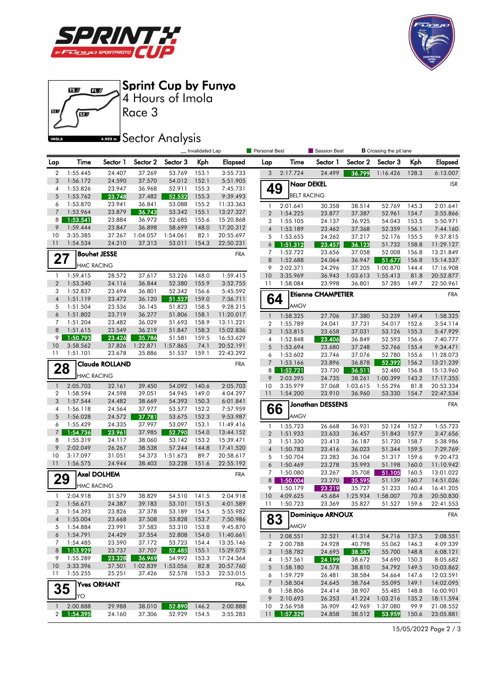





## **4.909mm** Sector Analysis

|                     |                      |                       |                  |                  | Invalidated Lap |                        | <b>Personal Best</b> |                      | Session Best              |                  | <b>B</b> Crossing the pit lane |                |                        |
|---------------------|----------------------|-----------------------|------------------|------------------|-----------------|------------------------|----------------------|----------------------|---------------------------|------------------|--------------------------------|----------------|------------------------|
| Lap                 | <b>Time</b>          | Sector 1              | Sector 2         | Sector 3         | Kph             | Elapsed                | Lap                  | Time                 | Sector 1                  | Sector 2         | Sector 3                       | Kph            | <b>Elapsed</b>         |
| $\overline{2}$      | 1:55.445             | 24.407                | 37.269           | 53.769           | 153.1           | 3:55.733               | 3                    | 2:17.724             | 24.499                    | 36.799           | 1:16.426                       | 128.3          | 6:13.007               |
| 3                   | 1:56.172             | 24.590                | 37.570           | 54.012           | 152.1           | 5:51.905               |                      | <b>Naar DEKEL</b>    |                           |                  |                                |                | <b>ISR</b>             |
| 4                   | 1:53.826             | 23.947                | 36.968           | 52.911           | 155.3           | 7:45.731               | 49                   |                      |                           |                  |                                |                |                        |
| 5                   | 1:53.762             | 23.748                | 37.482           | 52.532           | 155.3           | 9:39.493               |                      | <b>BELT RACING</b>   |                           |                  |                                |                |                        |
| 6<br>$\overline{7}$ | 1:53.870             | 23.941                | 36.841           | 53.088           | 155.2<br>155.1  | 11:33.363              | $\mathbf{1}$         | 2:01.641             | 30.358                    | 38.514           | 52.769                         | 145.3          | 2:01.641               |
| 8                   | 1:53.964<br>1:53.541 | 23.879<br>23.884      | 36.743<br>36.972 | 53.342<br>52.685 | 155.6           | 13:27.327<br>15:20.868 | $\overline{2}$       | 1:54.225             | 23.877                    | 37.387           | 52.961                         | 154.7          | 3:55.866               |
| 9                   | 1:59.444             | 23.847                | 36.898           | 58.699           | 148.0           | 17:20.312              | 3                    | 1:55.105             | 24.137                    | 36.925           | 54.043                         | 153.5          | 5:50.971               |
| 10                  | 3:35.385             | 37.267                | 1:04.057         | 1:54.061         | 82.1            | 20:55.697              | $\overline{4}$<br>5  | 1:53.189<br>1:53.655 | 23.462<br>24.262          | 37.368<br>37.217 | 52.359<br>52.176               | 156.1<br>155.5 | 7:44.160<br>9:37.815   |
| 11                  | 1:54.534             | 24.210                | 37.313           | 53.011           | 154.3           | 22:50.231              | 6 <sup>1</sup>       | 1:51.312             | 23.457                    | 36.123           | 51.732                         | 158.8          | 11:29.127              |
|                     |                      | <b>Bouhet JESSE</b>   |                  |                  |                 | <b>FRA</b>             | 7                    | 1:52.722             | 23.656                    | 37.058           | 52.008                         | 156.8          | 13:21.849              |
| 27                  |                      |                       |                  |                  |                 |                        | 8                    | 1:52.688             | 24.064                    | 36.947           | 51.677                         | 156.8          | 15:14.537              |
|                     | <b>HMC RACING</b>    |                       |                  |                  |                 |                        | 9                    | 2:02.371             | 24.296                    | 37.205           | 1:00.870                       | 144.4          | 17:16.908              |
| $\mathbf{1}$        | 1:59.415             | 28.572                | 37.617           | 53.226           | 148.0           | 1:59.415               | 10                   | 3:35.969             | 36.943                    | 1:03.613         | 1:55.413                       | 81.8           | 20:52.877              |
| $\overline{2}$      | 1:53.340             | 24.116                | 36.844           | 52.380           | 155.9           | 3:52.755               | 11                   | 1:58.084             | 23.998                    | 36.801           | 57.285                         | 149.7          | 22:50.961              |
| 3                   | 1:52.837             | 23.694                | 36.801           | 52.342           | 156.6           | 5:45.592               |                      |                      | <b>Etienne CHAMPETIER</b> |                  |                                |                | <b>FRA</b>             |
| $\overline{4}$      | 1:51.119             | 23.472                | 36.120           | 51.527           | 159.0           | 7:36.711               | 64                   |                      |                           |                  |                                |                |                        |
| 5                   | 1:51.504             | 23.536                | 36.145           | 51.823           | 158.5           | 9:28.215               |                      | <b>AMGV</b>          |                           |                  |                                |                |                        |
| 6                   | 1:51.802             | 23.719                | 36.277           | 51.806           | 158.1           | 11:20.017              | $\mathbf{1}$         | 1:58.325             | 27.706                    | 37.380           | 53.239                         | 149.4          | 1:58.325               |
| 7<br>8              | 1:51.204<br>1:51.615 | 23.482<br>23.549      | 36.029<br>36.219 | 51.693<br>51.847 | 158.9<br>158.3  | 13:11.221              | 2                    | 1:55.789             | 24.041                    | 37.731           | 54.017                         | 152.6          | 3:54.114               |
| 9                   | 1:50.793             | 23.426                | 35.786           | 51.581           | 159.5           | 15:02.836<br>16:53.629 | 3                    | 1:53.815             | 23.658                    | 37.031           | 53.126                         | 155.3          | 5:47.929               |
| 10                  | 3:58.562             | 37.826                | 1:22.871         | 1:57.865         | 74.1            | 20:52.191              | 4<br>5               | 1:52.848<br>1:53.694 | 23.406<br>23.680          | 36.849<br>37.248 | 52.593<br>52.766               | 156.6<br>155.4 | 7:40.777<br>9:34.471   |
| 11                  | 1:51.101             | 23.678                | 35.886           | 51.537           | 159.1           | 22:43.292              | 6                    | 1:53.602             | 23.746                    | 37.076           | 52.780                         | 155.6          | 11:28.073              |
|                     |                      | <b>Claude ROLLAND</b> |                  |                  |                 |                        | $7\overline{ }$      | 1:53.166             | 23.896                    | 36.878           | 52.392                         | 156.2          | 13:21.239              |
| 28                  |                      |                       |                  |                  |                 | <b>FRA</b>             |                      | 8 1:52.721           | 23.730                    | 36.511           | 52.480                         | 156.8          | 15:13.960              |
|                     | <b>HMC RACING</b>    |                       |                  |                  |                 |                        | 9                    | 2:03.395             | 24.735                    | 38.261           | 1:00.399                       | 143.2          | 17:17.355              |
| $\mathbf{1}$        | 2:05.703             | 32.161                | 39.450           | 54.092           | 140.6           | 2:05.703               | 10                   | 3:35.979             | 37.068                    | 1:03.615         | 1:55.296                       | 81.8           | 20:53.334              |
| 2                   | 1:58.594             | 24.598                | 39.051           | 54.945           | 149.0           | 4:04.297               | 11                   | 1:54.200             | 23.910                    | 36.960           | 53.330                         | 154.7          | 22:47.534              |
| 3                   | 1:57.544             | 24.482                | 38.669           | 54.393           | 150.3           | 6:01.841               |                      |                      | <b>Jonathan DESSENS</b>   |                  |                                |                | <b>FRA</b>             |
| 4                   | 1:56.118             | 24.564                | 37.977           | 53.577           | 152.2           | 7:57.959               | 66                   |                      |                           |                  |                                |                |                        |
| 5                   | 1:56.028             | 24.572                | 37.781           | 53.675           | 152.3           | 9:53.987               |                      | <b>AMGV</b>          |                           |                  |                                |                |                        |
| 6                   | 1:55.429             | 24.335                | 37.997           | 53.097           | 153.1           | 11:49.416              | $\mathbf{1}$         | 1:55.723             | 26.668                    | 36.931           | 52.124                         | 152.7          | 1:55.723               |
| $\overline{7}$<br>8 | 1:54.736<br>1:55.319 | 23.961<br>24.117      | 37.985<br>38.060 | 52.790<br>53.142 | 154.0<br>153.2  | 13:44.152<br>15:39.471 | $\overline{2}$       | 1:51.933             | 23.633                    | 36.457           | 51.843                         | 157.9          | 3:47.656               |
| 9                   | 2:02.049             | 26.267                | 38.538           | 57.244           | 144.8           | 17:41.520              | 3                    | 1:51.330             | 23.413                    | 36.187           | 51.730                         | 158.7          | 5:38.986               |
| 10                  | 3:17.097             | 31.051                | 54.373           | 1:51.673         | 89.7            | 20:58.617              | $\overline{4}$<br>5  | 1:50.783<br>1:50.704 | 23.416                    | 36.023           | 51.344                         | 159.5          | 7:29.769               |
| 11                  | 1:56.575             | 24.944                | 38.403           | 53.228           | 151.6           | 22:55.192              | 6                    | 1:50.469             | 23.283<br>23.278          | 36.104<br>35.993 | 51.317<br>51.198               | 159.6<br>160.0 | 9:20.473<br>11:10.942  |
|                     |                      | <b>Axel DOLHEM</b>    |                  |                  |                 | <b>FRA</b>             | 7                    | 1:50.080             | 23.267                    | 35.708           | 51.105                         | 160.5          | 13:01.022              |
| 29                  |                      |                       |                  |                  |                 |                        | 8                    | 1:50.004             | 23.270                    | 35.595           | 51.139                         | 160.7          | 14:51.026              |
|                     | <b>HMC RACING</b>    |                       |                  |                  |                 |                        | 9                    | 1:50.179             | 23.219                    | 35.727           | 51.233                         | 160.4          | 16:41.205              |
| 1                   | 2:04.918             | 31.579                | 38.829           | 54.510           | 141.5           | 2:04.918               | 10                   | 4:09.625             | 45.684                    | 1:25.934         | 1:58.007                       | 70.8           | 20:50.830              |
| $\overline{2}$      | 1:56.671             | 24.387                | 39.183           | 53.101           | 151.5           | 4:01.589               | 11                   | 1:50.723             | 23.369                    | 35.827           | 51.527                         | 159.6          | 22:41.553              |
| 3                   | 1:54.393             | 23.826                | 37.378           | 53.189           | 154.5           | 5:55.982               |                      |                      | Dominique ARNOUX          |                  |                                |                | FRA                    |
| 4                   | 1:55.004             | 23.668                | 37.508           | 53.828           | 153.7           | 7:50.986               | 83                   |                      |                           |                  |                                |                |                        |
| 5                   | 1:54.884             | 23.991                | 37.583           | 53.310           | 153.8           | 9:45.870               |                      | <b>AMGV</b>          |                           |                  |                                |                |                        |
| 6                   | 1:54.791             | 24.429                | 37.554           | 52.808           | 154.0           | 11:40.661              | $\mathbf{1}$         | 2:08.551             | 32.521                    | 41.314           | 54.716                         | 137.5          | 2:08.551               |
| 7<br>8              | 1:54.485<br>1:53.929 | 23.590<br>23.737      | 37.172<br>37.707 | 53.723<br>52.485 | 154.4<br>155.1  | 13:35.146              | 2                    | 2:00.788             | 24.928                    | 40.798           | 55.062                         | 146.3          | 4:09.339               |
| 9                   | 1:55.289             | 23.328                | 36.969           | 54.992           | 153.3           | 15:29.075<br>17:24.364 | 3                    | 1:58.782             | 24.695                    | 38.387           | 55.700                         | 148.8          | 6:08.121               |
| 10                  | 3:33.396             | 37.501                | 1:02.839         | 1:53.056         | 82.8            | 20:57.760              | 4                    | 1:57.561             | 24.199                    | 38.672           | 54.690                         | 150.3          | 8:05.682               |
| 11                  | 1:55.255             | 25.251                | 37.426           | 52.578           | 153.3           | 22:53.015              | 5<br>6               | 1:58.180<br>1:59.729 | 24.578<br>26.481          | 38.810<br>38.584 | 54.792<br>54.664               | 149.5<br>147.6 | 10:03.862<br>12:03.591 |
|                     |                      |                       |                  |                  |                 |                        | $\overline{7}$       | 1:58.504             | 24.645                    | 38.764           | 55.095                         | 149.1          | 14:02.095              |
| 35                  |                      | <b>Yves ORHANT</b>    |                  |                  |                 | <b>FRA</b>             | 8                    | 1:58.806             | 24.414                    | 38.907           | 55.485                         | 148.8          | 16:00.901              |
|                     | ]YO                  |                       |                  |                  |                 |                        | 9                    | 2:10.693             | 26.253                    | 41.224           | 1:03.216                       | 135.2          | 18:11.594              |
| 1                   | 2:00.888             | 29.988                | 38.010           | 52.890           | 146.2           | 2:00.888               | 10                   | 2:56.958             | 36.909                    | 42.969           | 1:37.080                       | 99.9           | 21:08.552              |
| $\overline{2}$      | 1:54.395             | 24.160                | 37.306           | 52.929           | 154.5           | 3:55.283               | 11 <sub>1</sub>      | 1:57.329             | 24.858                    | 38.512           | 53.959                         | 150.6          | 23:05.881              |
|                     |                      |                       |                  |                  |                 |                        |                      |                      |                           |                  |                                |                |                        |

15/05/2022 Page 2 / 3